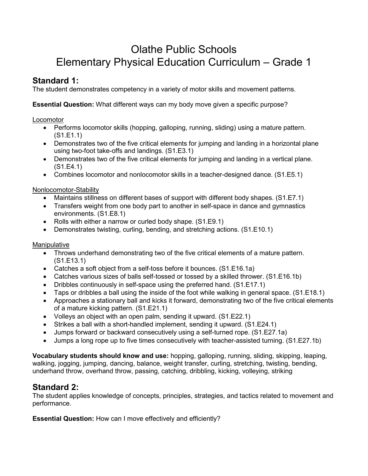# Olathe Public Schools Elementary Physical Education Curriculum – Grade 1

# **Standard 1:**

The student demonstrates competency in a variety of motor skills and movement patterns.

**Essential Question:** What different ways can my body move given a specific purpose?

### Locomotor

- Performs locomotor skills (hopping, galloping, running, sliding) using a mature pattern. (S1.E1.1)
- Demonstrates two of the five critical elements for jumping and landing in a horizontal plane using two-foot take-offs and landings. (S1.E3.1)
- Demonstrates two of the five critical elements for jumping and landing in a vertical plane. (S1.E4.1)
- Combines locomotor and nonlocomotor skills in a teacher-designed dance. (S1.E5.1)

### Nonlocomotor-Stability

- Maintains stillness on different bases of support with different body shapes. (S1.E7.1)
- Transfers weight from one body part to another in self-space in dance and gymnastics environments. (S1.E8.1)
- Rolls with either a narrow or curled body shape. (S1.E9.1)
- Demonstrates twisting, curling, bending, and stretching actions. (S1.E10.1)

### Manipulative

- Throws underhand demonstrating two of the five critical elements of a mature pattern. (S1.E13.1)
- Catches a soft object from a self-toss before it bounces. (S1.E16.1a)
- Catches various sizes of balls self-tossed or tossed by a skilled thrower. (S1.E16.1b)
- Dribbles continuously in self-space using the preferred hand. (S1.E17.1)
- Taps or dribbles a ball using the inside of the foot while walking in general space. (S1.E18.1)
- Approaches a stationary ball and kicks it forward, demonstrating two of the five critical elements of a mature kicking pattern. (S1.E21.1)
- Volleys an object with an open palm, sending it upward. (S1.E22.1)
- Strikes a ball with a short-handled implement, sending it upward. (S1.E24.1)
- Jumps forward or backward consecutively using a self-turned rope. (S1.E27.1a)
- Jumps a long rope up to five times consecutively with teacher-assisted turning. (S1.E27.1b)

**Vocabulary students should know and use:** hopping, galloping, running, sliding, skipping, leaping, walking, jogging, jumping, dancing, balance, weight transfer, curling, stretching, twisting, bending, underhand throw, overhand throw, passing, catching, dribbling, kicking, volleying, striking

# **Standard 2:**

The student applies knowledge of concepts, principles, strategies, and tactics related to movement and performance.

**Essential Question:** How can I move effectively and efficiently?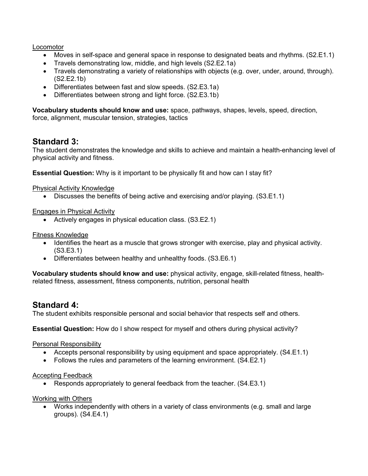**Locomotor** 

- Moves in self-space and general space in response to designated beats and rhythms. (S2.E1.1)
- Travels demonstrating low, middle, and high levels (S2.E2.1a)
- Travels demonstrating a variety of relationships with objects (e.g. over, under, around, through). (S2.E2.1b)
- Differentiates between fast and slow speeds. (S2.E3.1a)
- Differentiates between strong and light force. (S2.E3.1b)

**Vocabulary students should know and use:** space, pathways, shapes, levels, speed, direction, force, alignment, muscular tension, strategies, tactics

# **Standard 3:**

The student demonstrates the knowledge and skills to achieve and maintain a health-enhancing level of physical activity and fitness.

**Essential Question:** Why is it important to be physically fit and how can I stay fit?

#### Physical Activity Knowledge

• Discusses the benefits of being active and exercising and/or playing. (S3.E1.1)

#### Engages in Physical Activity

• Actively engages in physical education class. (S3.E2.1)

#### Fitness Knowledge

- Identifies the heart as a muscle that grows stronger with exercise, play and physical activity. (S3.E3.1)
- Differentiates between healthy and unhealthy foods. (S3.E6.1)

**Vocabulary students should know and use:** physical activity, engage, skill-related fitness, healthrelated fitness, assessment, fitness components, nutrition, personal health

# **Standard 4:**

The student exhibits responsible personal and social behavior that respects self and others.

**Essential Question:** How do I show respect for myself and others during physical activity?

#### Personal Responsibility

- Accepts personal responsibility by using equipment and space appropriately. (S4.E1.1)
- Follows the rules and parameters of the learning environment. (S4.E2.1)

#### Accepting Feedback

• Responds appropriately to general feedback from the teacher. (S4.E3.1)

Working with Others

• Works independently with others in a variety of class environments (e.g. small and large groups). (S4.E4.1)